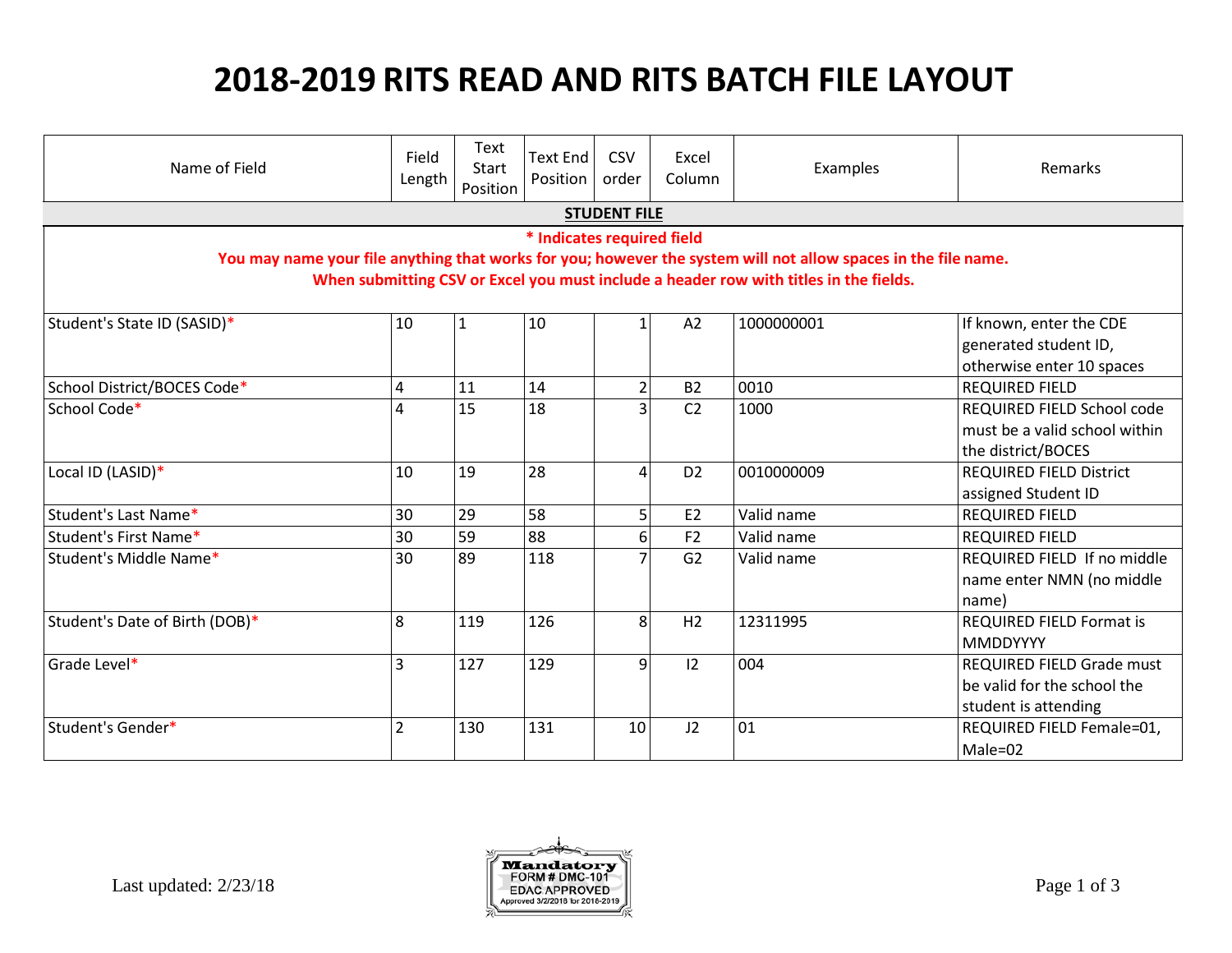## **2018-2019 RITS READ AND RITS BATCH FILE LAYOUT**

| Name of Field                                                                                                  | Field<br>Length | Text<br>Start<br>Position | <b>Text End</b><br>Position | CSV<br>order   | Excel<br>Column | Examples   | <b>Remarks</b>                  |
|----------------------------------------------------------------------------------------------------------------|-----------------|---------------------------|-----------------------------|----------------|-----------------|------------|---------------------------------|
| <b>STUDENT FILE</b>                                                                                            |                 |                           |                             |                |                 |            |                                 |
| * Indicates required field                                                                                     |                 |                           |                             |                |                 |            |                                 |
| You may name your file anything that works for you; however the system will not allow spaces in the file name. |                 |                           |                             |                |                 |            |                                 |
| When submitting CSV or Excel you must include a header row with titles in the fields.                          |                 |                           |                             |                |                 |            |                                 |
| Student's State ID (SASID)*                                                                                    | 10              | $\mathbf{1}$              | 10                          |                | A2              | 1000000001 | If known, enter the CDE         |
|                                                                                                                |                 |                           |                             |                |                 |            | generated student ID,           |
|                                                                                                                |                 |                           |                             |                |                 |            | otherwise enter 10 spaces       |
| School District/BOCES Code*                                                                                    | 4               | 11                        | 14                          | $\overline{2}$ | <b>B2</b>       | 0010       | <b>REQUIRED FIELD</b>           |
| School Code*                                                                                                   | 4               | 15                        | 18                          | 3              | C <sub>2</sub>  | 1000       | REQUIRED FIELD School code      |
|                                                                                                                |                 |                           |                             |                |                 |            | must be a valid school within   |
|                                                                                                                |                 |                           |                             |                |                 |            | the district/BOCES              |
| Local ID (LASID)*                                                                                              | 10              | 19                        | 28                          | $\Lambda$      | D <sub>2</sub>  | 0010000009 | <b>REQUIRED FIELD District</b>  |
|                                                                                                                |                 |                           |                             |                |                 |            | assigned Student ID             |
| Student's Last Name*                                                                                           | 30              | 29                        | 58                          | 5              | E2              | Valid name | <b>REQUIRED FIELD</b>           |
| Student's First Name*                                                                                          | 30              | 59                        | 88                          | 6              | F <sub>2</sub>  | Valid name | <b>REQUIRED FIELD</b>           |
| Student's Middle Name*                                                                                         | 30              | 89                        | 118                         |                | G <sub>2</sub>  | Valid name | REQUIRED FIELD If no middle     |
|                                                                                                                |                 |                           |                             |                |                 |            | name enter NMN (no middle       |
|                                                                                                                |                 |                           |                             |                |                 |            | name)                           |
| Student's Date of Birth (DOB)*                                                                                 | 8               | 119                       | 126                         | 8              | H <sub>2</sub>  | 12311995   | <b>REQUIRED FIELD Format is</b> |
|                                                                                                                |                 |                           |                             |                |                 |            | <b>MMDDYYYY</b>                 |
| Grade Level*                                                                                                   | $\overline{3}$  | 127                       | 129                         | $\overline{9}$ | 12              | 004        | REQUIRED FIELD Grade must       |
|                                                                                                                |                 |                           |                             |                |                 |            | be valid for the school the     |
|                                                                                                                |                 |                           |                             |                |                 |            | student is attending            |
| Student's Gender*                                                                                              | $\overline{2}$  | 130                       | 131                         | 10             | J2              | 01         | REQUIRED FIELD Female=01,       |
|                                                                                                                |                 |                           |                             |                |                 |            | Male=02                         |

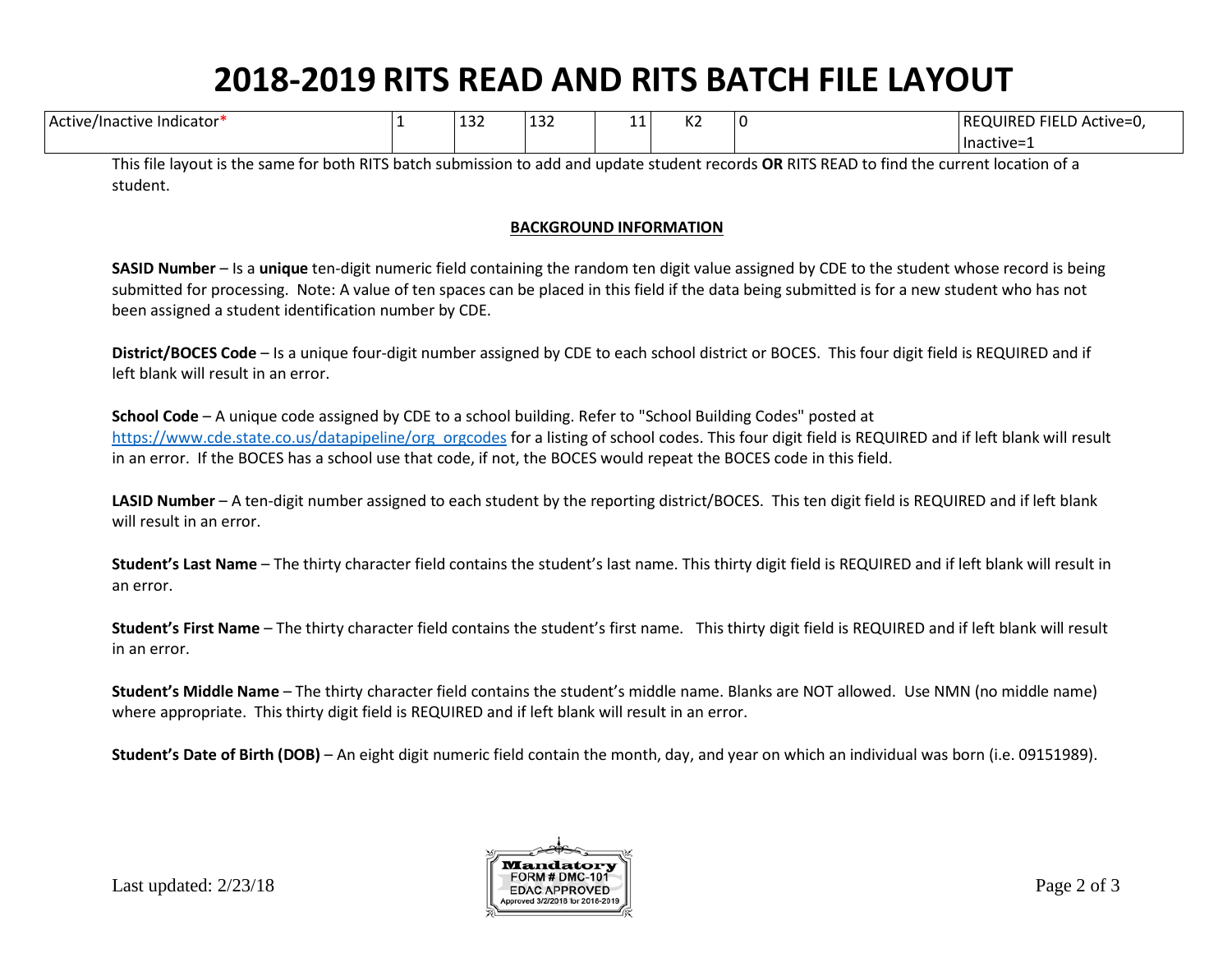## **2018-2019 RITS READ AND RITS BATCH FILE LAYOUT**

| $\cdots$<br>e/Inactive<br>: Indicator<br>: Active | $\sim$<br>∣⊥⊃∠<br>___ | $\sim$ $\sim$ $\sim$<br>ᆠᇰᄼ | -- | $\overline{\phantom{a}}$<br>$\sim$ | $\lrcorner$ ) FIELD $\prime$ .<br>REQUIRED<br>) Active=0. |
|---------------------------------------------------|-----------------------|-----------------------------|----|------------------------------------|-----------------------------------------------------------|
|                                                   |                       |                             |    |                                    | Inactive=                                                 |

This file layout is the same for both RITS batch submission to add and update student records **OR** RITS READ to find the current location of a student.

## **BACKGROUND INFORMATION**

**SASID Number** – Is a **unique** ten-digit numeric field containing the random ten digit value assigned by CDE to the student whose record is being submitted for processing. Note: A value of ten spaces can be placed in this field if the data being submitted is for a new student who has not been assigned a student identification number by CDE.

**District/BOCES Code** – Is a unique four-digit number assigned by CDE to each school district or BOCES. This four digit field is REQUIRED and if left blank will result in an error.

**School Code** – A unique code assigned by CDE to a school building. Refer to "School Building Codes" posted at [https://www.cde.state.co.us/datapipeline/org\\_orgcodes](https://www.cde.state.co.us/datapipeline/org_orgcodes) for a listing of school codes. This four digit field is REQUIRED and if left blank will result in an error. If the BOCES has a school use that code, if not, the BOCES would repeat the BOCES code in this field.

**LASID Number** – A ten-digit number assigned to each student by the reporting district/BOCES. This ten digit field is REQUIRED and if left blank will result in an error.

**Student's Last Name** – The thirty character field contains the student's last name. This thirty digit field is REQUIRED and if left blank will result in an error.

**Student's First Name** – The thirty character field contains the student's first name. This thirty digit field is REQUIRED and if left blank will result in an error.

**Student's Middle Name** – The thirty character field contains the student's middle name. Blanks are NOT allowed. Use NMN (no middle name) where appropriate. This thirty digit field is REQUIRED and if left blank will result in an error.

**Student's Date of Birth (DOB)** – An eight digit numeric field contain the month, day, and year on which an individual was born (i.e. 09151989).